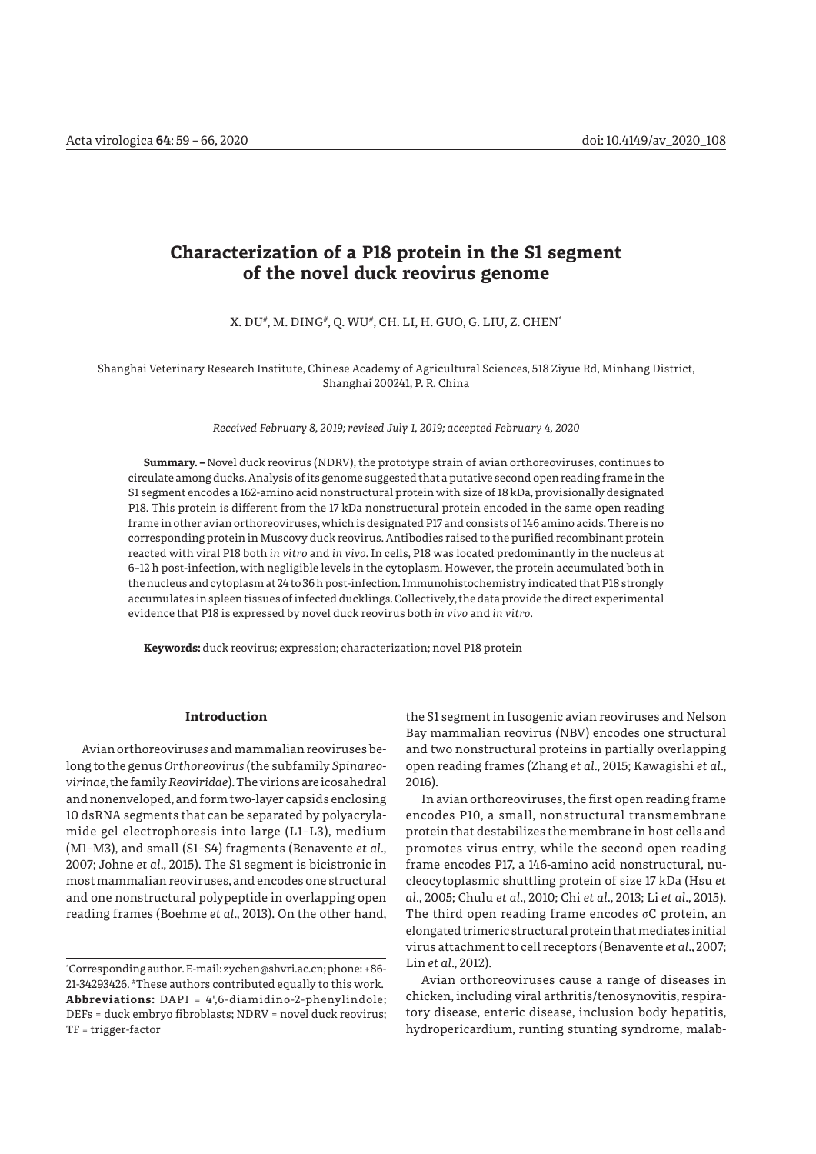# **Characterization of a P18 protein in the S1 segment of the novel duck reovirus genome**

#### X. DU*#*, M. DING*#*, Q. WU*#*, CH. LI, H. GUO, G. LIU, Z. CHEN\*

Shanghai Veterinary Research Institute, Chinese Academy of Agricultural Sciences, 518 Ziyue Rd, Minhang District, Shanghai 200241, P. R. China

*Received February 8, 2019; revised July 1, 2019; accepted February 4, 2020*

**Summary. –** Novel duck reovirus (NDRV), the prototype strain of avian orthoreoviruses, continues to circulate among ducks. Analysis of its genome suggested that a putative second open reading frame in the S1 segment encodes a 162-amino acid nonstructural protein with size of 18 kDa, provisionally designated P18. This protein is different from the 17 kDa nonstructural protein encoded in the same open reading frame in other avian orthoreoviruses, which is designated P17 and consists of 146 amino acids. There is no corresponding protein in Muscovy duck reovirus. Antibodies raised to the purified recombinant protein reacted with viral P18 both *in vitro* and *in vivo*. In cells, P18 was located predominantly in the nucleus at 6–12 h post-infection, with negligible levels in the cytoplasm. However, the protein accumulated both in the nucleus and cytoplasm at 24 to 36 h post-infection. Immunohistochemistry indicated that P18 strongly accumulates in spleen tissues of infected ducklings. Collectively, the data provide the direct experimental evidence that P18 is expressed by novel duck reovirus both *in vivo* and *in vitro*.

**Keywords:** duck reovirus; expression; characterization; novel P18 protein

# **Introduction**

Avian orthoreovirus*es* and mammalianreoviruses belong to the genus *Orthoreovirus* (the subfamily *Spinareovirinae*, the family *Reoviridae*). The virions are icosahedral and nonenveloped, and form two-layer capsids enclosing 10 dsRNA segments that can be separated by polyacrylamide gel electrophoresis into large (L1–L3), medium (M1–M3), and small (S1–S4) fragments (Benavente *et al*., 2007; Johne *et al*., 2015). The S1 segment is bicistronic in most mammalian reoviruses, and encodes one structural and one nonstructural polypeptide in overlapping open reading frames (Boehme *et al*., 2013). On the other hand,

the S1 segment in fusogenic avian reoviruses and Nelson Bay mammalian reovirus (NBV) encodes one structural and two nonstructural proteins in partially overlapping open reading frames (Zhang *et al*., 2015; Kawagishi *et al*., 2016).

In avian orthoreoviruses, the first open reading frame encodes P10, a small, nonstructural transmembrane protein that destabilizes the membrane in host cells and promotes virus entry, while the second open reading frame encodes P17, a 146-amino acid nonstructural, nucleocytoplasmic shuttling protein of size 17 kDa (Hsu *et al*., 2005; Chulu *et al*., 2010; Chi *et al*., 2013; Li *et al*., 2015). The third open reading frame encodes σC protein, an elongated trimeric structural protein that mediates initial virus attachment to cell receptors (Benavente *et al*., 2007; Lin *et al*., 2012).

Avian orthoreoviruses cause a range of diseases in chicken, including viral arthritis/tenosynovitis, respiratory disease, enteric disease, inclusion body hepatitis, hydropericardium, runting stunting syndrome, malab-

<sup>\*</sup> Corresponding author. E-mail: zychen@shvri.ac.cn; phone: +86- 21-34293426. #These authors contributed equally to this work. **Abbreviations:** DAPI = 4',6-diamidino-2-phenylindole; DEFs = duck embryo fibroblasts; NDRV = novel duck reovirus; TF = trigger-factor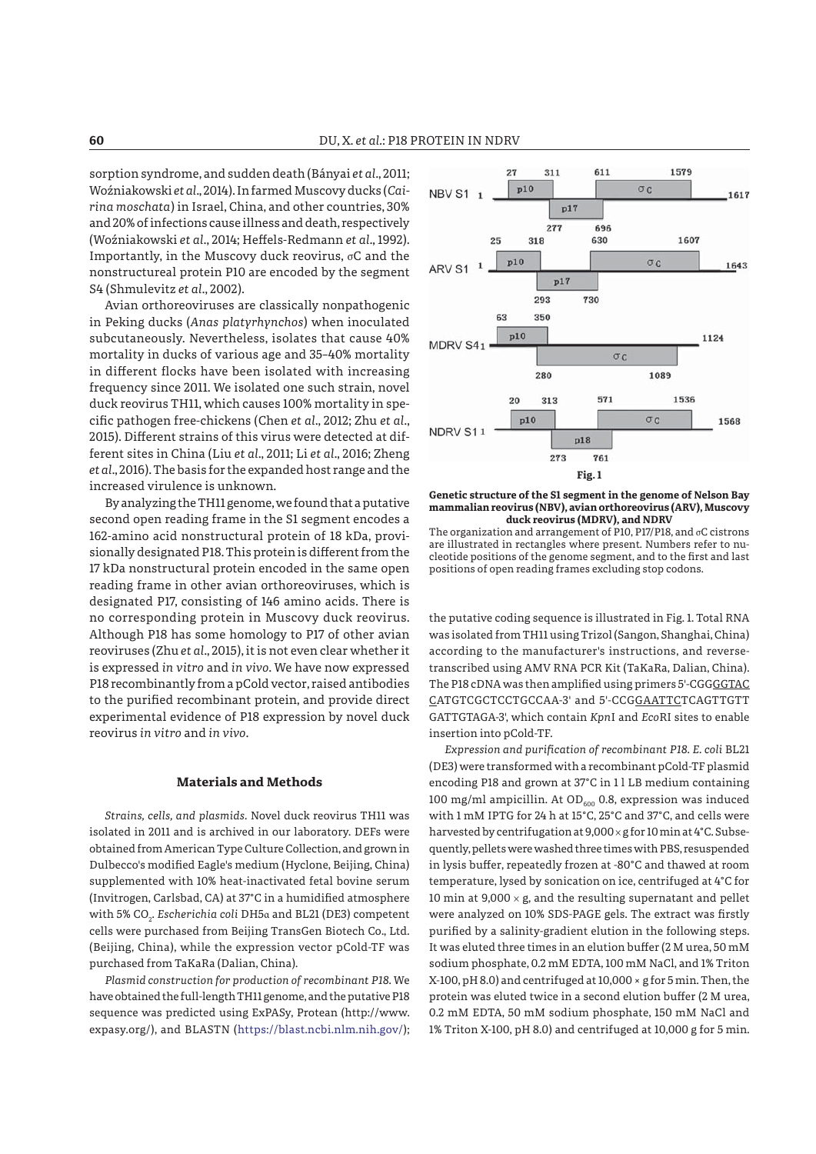sorption syndrome, and sudden death (Bányai *et al*., 2011; Woźniakowski *et al*., 2014). In farmed Muscovy ducks (*Cairina moschata*) in Israel, China, and other countries, 30% and 20% of infections cause illness and death, respectively (Woźniakowski *et al.*, 2014; Heffels-Redmann *et al.*, 1992). Importantly, in the Muscovy duck reovirus,  $\sigma C$  and the nonstructureal protein P10 are encoded by the segment S4 (Shmulevitz *et al*., 2002).

Avian orthoreoviruses are classically nonpathogenic in Peking ducks (*Anas platyrhynchos*) when inoculated subcutaneously. Nevertheless, isolates that cause 40% mortality in ducks of various age and 35–40% mortality in different flocks have been isolated with increasing frequency since 2011. We isolated one such strain, novel duck reovirus TH11, which causes 100% mortality in specific pathogen free-chickens (Chen et al., 2012; Zhu et al., 2015). Different strains of this virus were detected at different sites in China (Liu *et al*., 2011; Li *et al*., 2016; Zheng *et al*., 2016). The basis for the expanded host range and the increased virulence is unknown.

By analyzing the TH11 genome, we found that a putative second open reading frame in the S1 segment encodes a 162-amino acid nonstructural protein of 18 kDa, provisionally designated P18. This protein is different from the 17 kDa nonstructural protein encoded in the same open reading frame in other avian orthoreoviruses, which is designated P17, consisting of 146 amino acids. There is no corresponding protein in Muscovy duck reovirus. Although P18 has some homology to P17 of other avian reoviruses (Zhu *et al*., 2015), it is not even clear whether it is expressed *in vitro* and *in vivo*. We have now expressed P18 recombinantly from a pCold vector, raised antibodies to the purified recombinant protein, and provide direct experimental evidence of P18 expression by novel duck reovirus *in vitro* and *in vivo*.

### **Materials and Methods**

*Strains, cells, and plasmids.* Novel duck reovirus TH11 was isolated in 2011 and is archived in our laboratory. DEFs were obtained from American Type Culture Collection, and grown in Dulbecco's modified Eagle's medium (Hyclone, Beijing, China) supplemented with 10% heat-inactivated fetal bovine serum (Invitrogen, Carlsbad, CA) at 37°C in a humidified atmosphere with 5% CO<sub>2</sub>. *Escherichiα coli* DH5α and BL21 (DE3) competent cells were purchased from Beijing TransGen Biotech Co., Ltd. (Beijing, China), while the expression vector pCold-TF was purchased from TaKaRa (Dalian, China).

*Plasmid construction for production of recombinant P18.* We have obtained the full-length TH11 genome, and the putative P18 sequence was predicted using ExPASy, Protean (http://www. expasy.org/), and BLASTN (https://blast.ncbi.nlm.nih.gov/);



**Genetic structure of the S1 segment in the genome of Nelson Bay mammalian reovirus (NBV), avian orthoreovirus (ARV), Muscovy duck reovirus (MDRV), and NDRV**

The organization and arrangement of P10, P17/P18, and σC cistrons are illustrated in rectangles where present. Numbers refer to nucleotide positions of the genome segment, and to the first and last positions of open reading frames excluding stop codons.

the putative coding sequence is illustrated in Fig. 1. Total RNA was isolated from TH11 using Trizol (Sangon, Shanghai, China) according to the manufacturer's instructions, and reversetranscribed using AMV RNA PCR Kit (TaKaRa, Dalian, China). The P18 cDNA was then amplified using primers 5'-CGGGGTAC CATGTCGCTCCTGCCAA-3' and 5'-CCGGAATTCTCAGTTGTT GATTGTAGA-3', which contain *Kpn*I and *Eco*RI sites to enable insertion into pCold-TF.

*Expression and purification of recombinant P18. E. coli* BL21 (DE3) were transformed with a recombinant pCold-TF plasmid encoding P18 and grown at 37°C in 1 l LB medium containing 100 mg/ml ampicillin. At OD $_{600}$  0.8, expression was induced with 1 mM IPTG for 24 h at 15°C, 25°C and 37°C, and cells were harvested by centrifugation at 9,000 × g for 10 min at 4°C. Subsequently, pellets were washed three times with PBS, resuspended in lysis buffer, repeatedly frozen at -80°C and thawed at room temperature, lysed by sonication on ice, centrifuged at 4°C for 10 min at 9,000  $\times$  g, and the resulting supernatant and pellet were analyzed on 10% SDS-PAGE gels. The extract was firstly purified by a salinity-gradient elution in the following steps. It was eluted three times in an elution buffer (2 M urea, 50 mM sodium phosphate, 0.2 mM EDTA, 100 mM NaCl, and 1% Triton X-100, pH 8.0) and centrifuged at 10,000 × g for 5 min. Then, the protein was eluted twice in a second elution buffer (2 M urea, 0.2 mM EDTA, 50 mM sodium phosphate, 150 mM NaCl and 1% Triton X-100, pH 8.0) and centrifuged at 10,000 g for 5 min.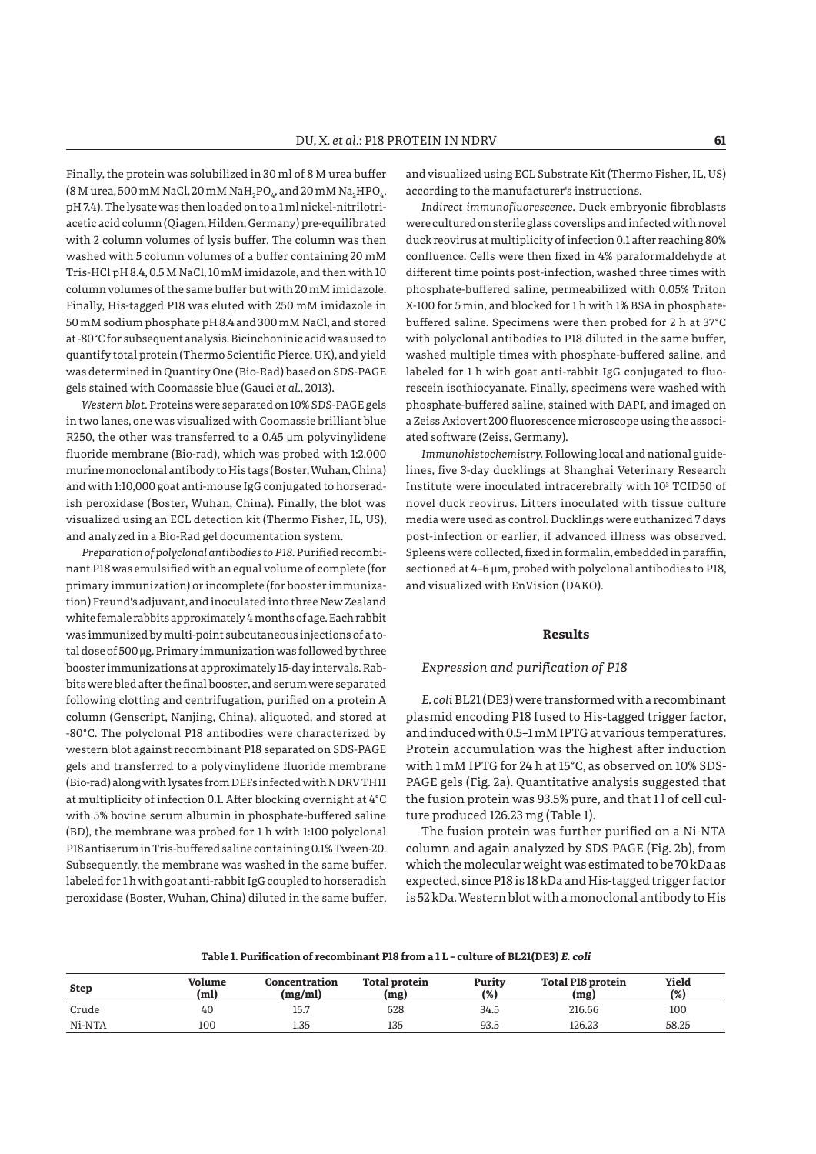Finally, the protein was solubilized in 30 ml of 8 M urea buffer (8 M urea, 500 mM NaCl, 20 mM NaH $_{\textrm{\tiny{2}}}$ PO $_{\textrm{\tiny{4}}}$ , and 20 mM Na $_{\textrm{\tiny{2}}}$ HPO $_{\textrm{\tiny{4}}}$ , pH 7.4). The lysate was then loaded on to a 1 ml nickel-nitrilotriacetic acid column (Qiagen, Hilden, Germany) pre-equilibrated with 2 column volumes of lysis buffer. The column was then washed with 5 column volumes of a buffer containing 20 mM Tris-HCl pH 8.4, 0.5 M NaCl, 10 mM imidazole, and then with 10 column volumes of the same buffer but with 20 mM imidazole. Finally, His-tagged P18 was eluted with 250 mM imidazole in 50 mM sodium phosphate pH 8.4 and 300 mM NaCl, and stored at -80°C for subsequent analysis. Bicinchoninic acid was used to quantify total protein (Thermo Scientific Pierce, UK), and yield was determined in Quantity One (Bio-Rad) based on SDS-PAGE gels stained with Coomassie blue (Gauci *et al*., 2013).

*Western blot.* Proteins were separated on 10% SDS-PAGE gels in two lanes, one was visualized with Coomassie brilliant blue R250, the other was transferred to a 0.45 μm polyvinylidene fluoride membrane (Bio-rad), which was probed with 1:2,000 murine monoclonal antibody to His tags (Boster, Wuhan, China) and with 1:10,000 goat anti-mouse IgG conjugated to horseradish peroxidase (Boster, Wuhan, China). Finally, the blot was visualized using an ECL detection kit (Thermo Fisher, IL, US), and analyzed in a Bio-Rad gel documentation system.

*Preparation of polyclonal antibodies to P18. Purified recombi*nant P18 was emulsified with an equal volume of complete (for primary immunization) or incomplete (for booster immunization) Freund's adjuvant, and inoculated into three New Zealand white female rabbits approximately 4 months of age. Each rabbit was immunized by multi-point subcutaneous injections of a total dose of 500 μg. Primary immunization was followed by three booster immunizations at approximately 15-day intervals. Rabbits were bled after the final booster, and serum were separated following clotting and centrifugation, purified on a protein A column (Genscript, Nanjing, China), aliquoted, and stored at -80°C. The polyclonal P18 antibodies were characterized by western blot against recombinant P18 separated on SDS-PAGE gels and transferred to a polyvinylidene fluoride membrane (Bio-rad) along with lysates from DEFs infected with NDRV TH11 at multiplicity of infection 0.1. After blocking overnight at 4°C with 5% bovine serum albumin in phosphate-buffered saline (BD), the membrane was probed for 1 h with 1:100 polyclonal P18 antiserum in Tris-buffered saline containing 0.1% Tween-20. Subsequently, the membrane was washed in the same buffer, labeled for 1 h with goat anti-rabbit IgG coupled to horseradish peroxidase (Boster, Wuhan, China) diluted in the same buffer,

and visualized using ECL Substrate Kit (Thermo Fisher, IL, US) according to the manufacturer's instructions.

*Indirect immunofluorescence.* Duck embryonic fibroblasts were cultured on sterile glass coverslips and infected with novel duck reovirus at multiplicity of infection 0.1 after reaching 80% confluence. Cells were then fixed in 4% paraformaldehyde at different time points post-infection, washed three times with phosphate-buffered saline, permeabilized with 0.05% Triton X-100 for 5 min, and blocked for 1 h with 1% BSA in phosphatebuffered saline. Specimens were then probed for 2 h at 37°C with polyclonal antibodies to P18 diluted in the same buffer, washed multiple times with phosphate-buffered saline, and labeled for 1 h with goat anti-rabbit IgG conjugated to fluorescein isothiocyanate. Finally, specimens were washed with phosphate-buffered saline, stained with DAPI, and imaged on a Zeiss Axiovert 200 fluorescence microscope using the associated software (Zeiss, Germany).

*Immunohistochemistry.* Following local and national guidelines, five 3-day ducklings at Shanghai Veterinary Research Institute were inoculated intracerebrally with 103 TCID50 of novel duck reovirus. Litters inoculated with tissue culture media were used as control. Ducklings were euthanized 7 days post-infection or earlier, if advanced illness was observed. Spleens were collected, fixed in formalin, embedded in paraffin, sectioned at 4–6 μm, probed with polyclonal antibodies to P18, and visualized with EnVision (DAKO).

#### **Results**

#### *Expression and purifi cation of P18*

*E. coli* BL21 (DE3) were transformed with a recombinant plasmid encoding P18 fused to His-tagged trigger factor, and induced with 0.5–1 mM IPTG at various temperatures. Protein accumulation was the highest after induction with 1 mM IPTG for 24 h at 15°C, as observed on 10% SDS-PAGE gels (Fig. 2a). Quantitative analysis suggested that the fusion protein was 93.5% pure, and that 11 of cell culture produced 126.23 mg (Table 1).

The fusion protein was further purified on a Ni-NTA column and again analyzed by SDS-PAGE (Fig. 2b), from which the molecular weight was estimated to be 70 kDa as expected, since P18 is 18 kDa and His-tagged trigger factor is 52 kDa. Western blot with a monoclonal antibody to His

#### Table 1. Purification of recombinant P18 from a 1L - culture of BL21(DE3) *E. coli*

| <b>Step</b> | Volume<br>(m <sub>l</sub> ) | Concentration<br>(mg/ml) | <b>Total protein</b><br>(mg) | Purity<br>(%) | <b>Total P18 protein</b><br>(mg) | Yield<br>(% ) |
|-------------|-----------------------------|--------------------------|------------------------------|---------------|----------------------------------|---------------|
| Crude       | 40                          | 15.7                     | 628                          | 34.5          | 216.66                           | 100           |
| Ni-NTA      | 100                         | 1.35                     | 135                          | 93.5          | 126.23                           | 58.25         |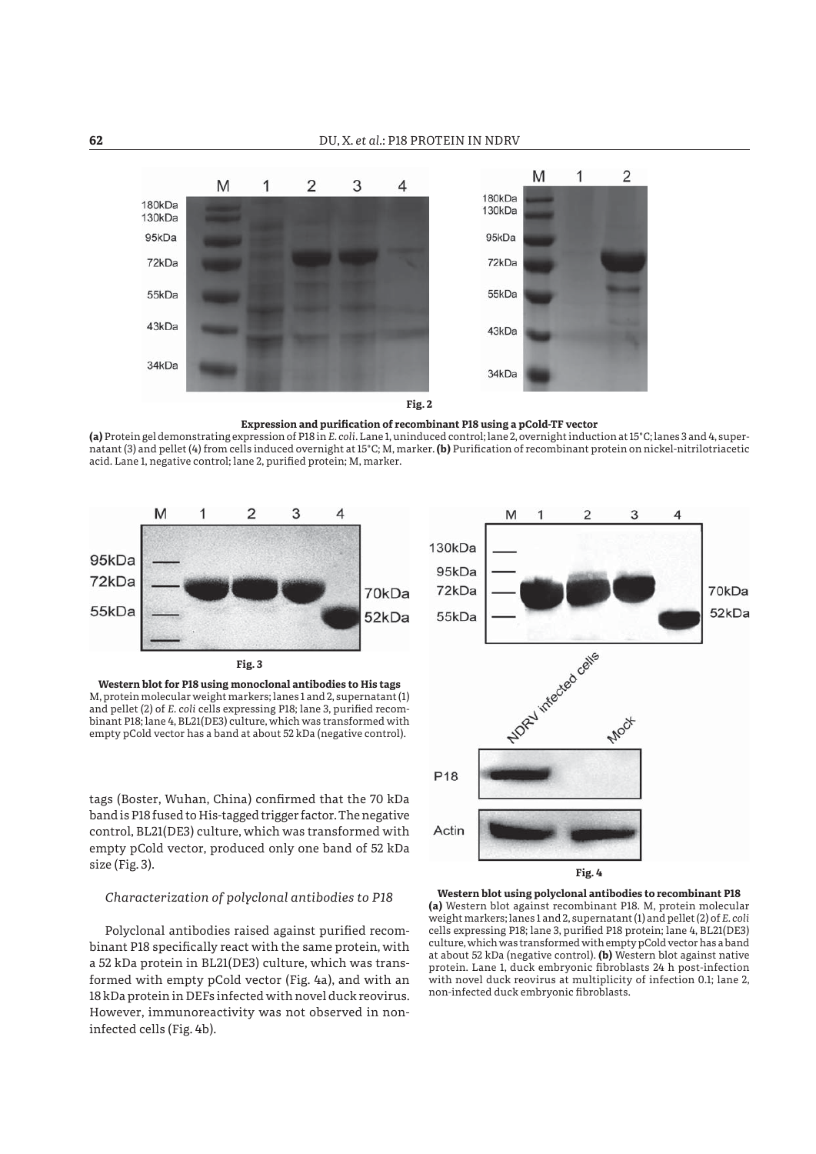

**Expression and purification of recombinant P18 using a pCold-TF vector** 

**(a)** Protein gel demonstrating expression of P18 in *E. coli*. Lane 1, uninduced control; lane 2, overnight induction at 15°C; lanes 3 and 4, supernatant (3) and pellet (4) from cells induced overnight at 15°C; M, marker. (b) Purification of recombinant protein on nickel-nitrilotriacetic acid. Lane 1, negative control; lane 2, purified protein; M, marker.



*Characterization of polyclonal antibodies to P18*

size (Fig. 3).

Polyclonal antibodies raised against purified recombinant P18 specifically react with the same protein, with a 52 kDa protein in BL21(DE3) culture, which was transformed with empty pCold vector (Fig. 4a), and with an 18 kDa protein in DEFs infected with novel duck reovirus. However, immunoreactivity was not observed in noninfected cells (Fig. 4b).



non-infected duck embryonic fibroblasts.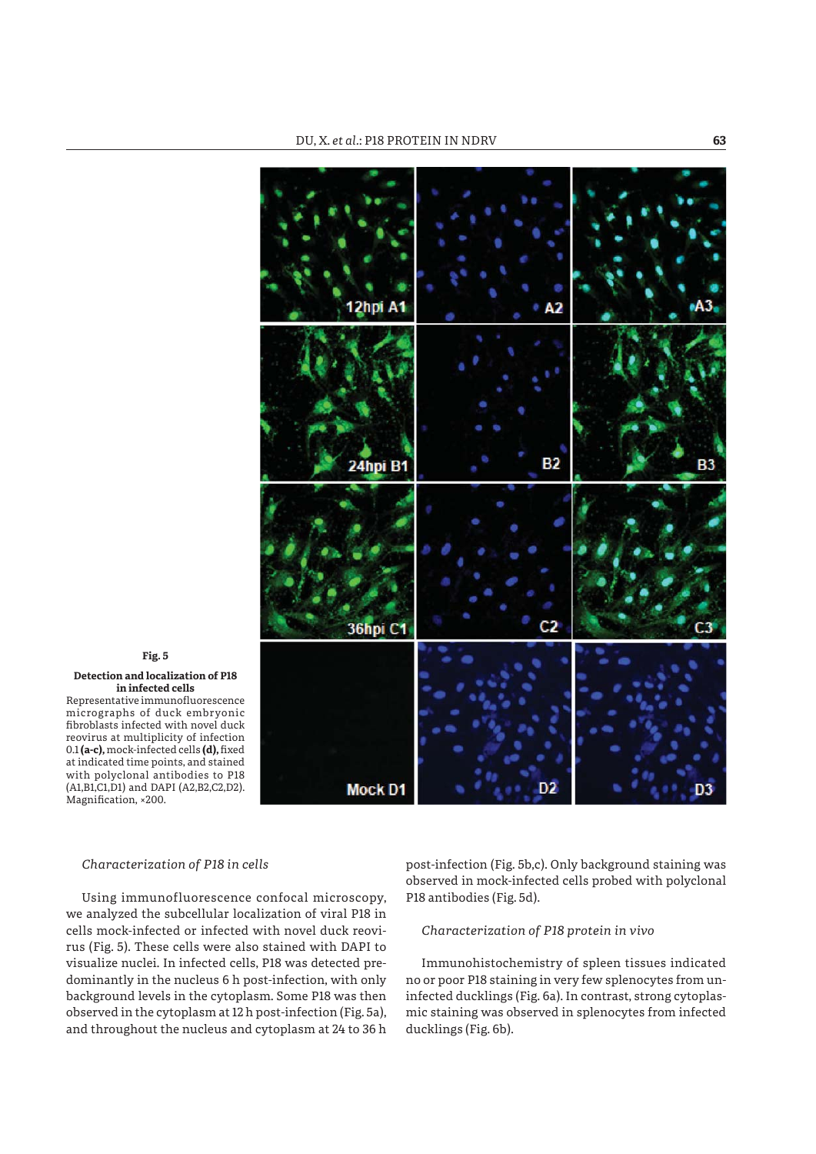

## **Fig. 5 Detection and localization of P18 in infected cells** Representative immunofluorescence micrographs of duck embryonic fibroblasts infected with novel duck reovirus at multiplicity of infection

0.1 (a-c), mock-infected cells (d), fixed at indicated time points, and stained with polyclonal antibodies to P18 (A1,B1,C1,D1) and DAPI (A2,B2,C2,D2). Magnification, ×200.

# *Characterization of P18 in cells*

Using immunofluorescence confocal microscopy, we analyzed the subcellular localization of viral P18 in cells mock-infected or infected with novel duck reovirus (Fig. 5). These cells were also stained with DAPI to visualize nuclei. In infected cells, P18 was detected predominantly in the nucleus 6 h post-infection, with only background levels in the cytoplasm. Some P18 was then observed in the cytoplasm at 12 h post-infection (Fig. 5a), and throughout the nucleus and cytoplasm at 24 to 36 h

post-infection (Fig. 5b,c). Only background staining was observed in mock-infected cells probed with polyclonal P18 antibodies (Fig. 5d).

# *Characterization of P18 protein in vivo*

Immunohistochemistry of spleen tissues indicated no or poor P18 staining in very few splenocytes from uninfected ducklings (Fig. 6a). In contrast, strong cytoplasmic staining was observed in splenocytes from infected ducklings (Fig. 6b).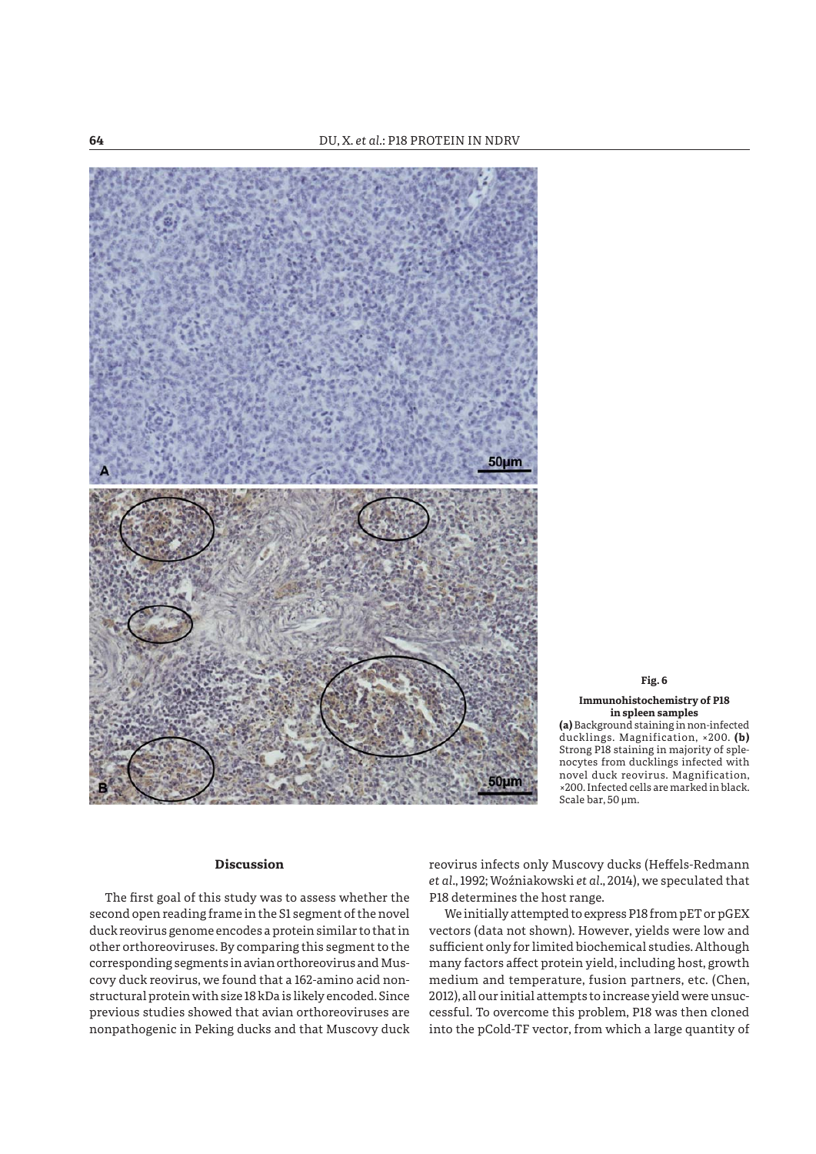

# **Fig. 6**

**Immunohistochemistry of P18 in spleen samples (a)** Background staining in non-infected ducklings. Magnification, ×200. **(b)** Strong P18 staining in majority of splenocytes from ducklings infected with novel duck reovirus. Magnification, ×200. Infected cells are marked in black. Scale bar, 50 μm.

## **Discussion**

The first goal of this study was to assess whether the second open reading frame in the S1 segment of the novel duck reovirus genome encodes a protein similar to that in other orthoreoviruses. By comparing this segment to the corresponding segments in avian orthoreovirus and Muscovy duck reovirus, we found that a 162-amino acid nonstructural protein with size 18 kDa is likely encoded. Since previous studies showed that avian orthoreoviruses are nonpathogenic in Peking ducks and that Muscovy duck reovirus infects only Muscovy ducks (Heffels-Redmann *et al*., 1992; Woźniakowski *et al*., 2014), we speculated that P18 determines the host range.

We initially attempted to express P18 from pET or pGEX vectors (data not shown). However, yields were low and sufficient only for limited biochemical studies. Although many factors affect protein yield, including host, growth medium and temperature, fusion partners, etc. (Chen, 2012), all our initial attempts to increase yield were unsuccessful. To overcome this problem, P18 was then cloned into the pCold-TF vector, from which a large quantity of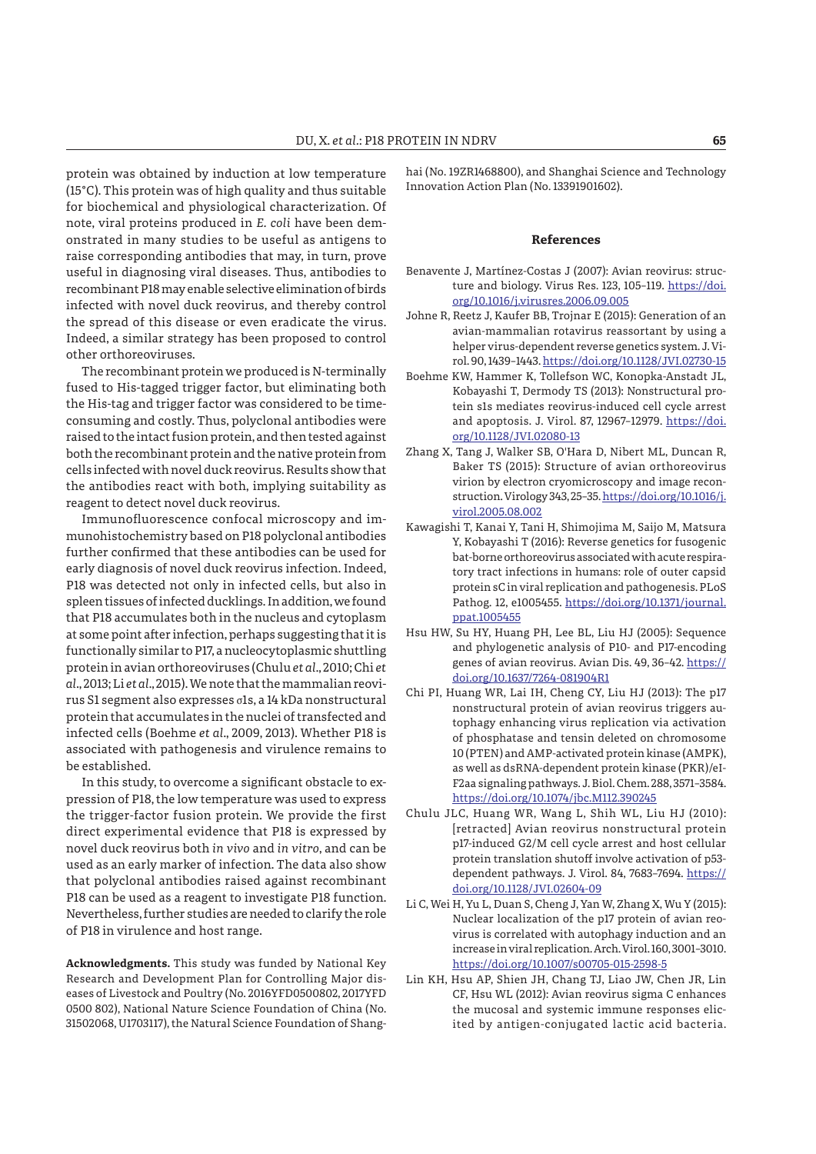protein was obtained by induction at low temperature (15°C). This protein was of high quality and thus suitable for biochemical and physiological characterization. Of note, viral proteins produced in *E. coli* have been demonstrated in many studies to be useful as antigens to raise corresponding antibodies that may, in turn, prove useful in diagnosing viral diseases. Thus, antibodies to recombinant P18 may enable selective elimination of birds infected with novel duck reovirus, and thereby control the spread of this disease or even eradicate the virus. Indeed, a similar strategy has been proposed to control other orthoreoviruses.

The recombinant protein we produced is N-terminally fused to His-tagged trigger factor, but eliminating both the His-tag and trigger factor was considered to be timeconsuming and costly. Thus, polyclonal antibodies were raised to the intact fusion protein, and then tested against both the recombinant protein and the native protein from cells infected with novel duck reovirus. Results show that the antibodies react with both, implying suitability as reagent to detect novel duck reovirus.

Immunofluorescence confocal microscopy and immunohistochemistry based on P18 polyclonal antibodies further confirmed that these antibodies can be used for early diagnosis of novel duck reovirus infection. Indeed, P18 was detected not only in infected cells, but also in spleen tissues of infected ducklings. In addition, we found that P18 accumulates both in the nucleus and cytoplasm at some point after infection, perhaps suggesting that it is functionally similar to P17, a nucleocytoplasmic shuttling protein in avian orthoreoviruses (Chulu *et al*., 2010; Chi *et al*., 2013; Li *et al*., 2015). We note that the mammalian reovirus S1 segment also expresses σ1s, a 14 kDa nonstructural protein that accumulates in the nuclei of transfected and infected cells (Boehme *et al*., 2009, 2013). Whether P18 is associated with pathogenesis and virulence remains to be established.

In this study, to overcome a significant obstacle to expression of P18, the low temperature was used to express the trigger-factor fusion protein. We provide the first direct experimental evidence that P18 is expressed by novel duck reovirus both *in vivo* and *in vitro*, and can be used as an early marker of infection. The data also show that polyclonal antibodies raised against recombinant P18 can be used as a reagent to investigate P18 function. Nevertheless, further studies are needed to clarify the role of P18 in virulence and host range.

**Acknowledgments.** This study was funded by National Key Research and Development Plan for Controlling Major diseases of Livestock and Poultry (No. 2016YFD0500802, 2017YFD 0500 802), National Nature Science Foundation of China (No. 31502068, U1703117), the Natural Science Foundation of Shanghai (No. 19ZR1468800), and Shanghai Science and Technology Innovation Action Plan (No. 13391901602).

#### **References**

- Benavente J, Martínez-Costas J (2007): Avian reovirus: structure and biology. Virus Res. 123, 105-119. https://doi. org/10.1016/j.virusres.2006.09.005
- Johne R, Reetz J, Kaufer BB, Trojnar E (2015): Generation of an avian-mammalian rotavirus reassortant by using a helper virus-dependent reverse genetics system. J. Virol. 90, 1439–1443. https://doi.org/10.1128/JVI.02730-15
- Boehme KW, Hammer K, Tollefson WC, Konopka-Anstadt JL, Kobayashi T, Dermody TS (2013): Nonstructural protein s1s mediates reovirus-induced cell cycle arrest and apoptosis. J. Virol. 87, 12967–12979. https://doi. org/10.1128/JVI.02080-13
- Zhang X, Tang J, Walker SB, O'Hara D, Nibert ML, Duncan R, Baker TS (2015): Structure of avian orthoreovirus virion by electron cryomicroscopy and image reconstruction. Virology 343, 25–35. https://doi.org/10.1016/j. virol.2005.08.002
- Kawagishi T, Kanai Y, Tani H, Shimojima M, Saijo M, Matsura Y, Kobayashi T (2016): Reverse genetics for fusogenic bat-borne orthoreovirus associated with acute respiratory tract infections in humans: role of outer capsid protein sC in viral replication and pathogenesis. PLoS Pathog. 12, e1005455. https://doi.org/10.1371/journal. ppat.1005455
- Hsu HW, Su HY, Huang PH, Lee BL, Liu HJ (2005): Sequence and phylogenetic analysis of P10- and P17-encoding genes of avian reovirus. Avian Dis. 49, 36–42. https:// doi.org/10.1637/7264-081904R1
- Chi PI, Huang WR, Lai IH, Cheng CY, Liu HJ (2013): The p17 nonstructural protein of avian reovirus triggers autophagy enhancing virus replication via activation of phosphatase and tensin deleted on chromosome 10 (PTEN) and AMP-activated protein kinase (AMPK), as well as dsRNA-dependent protein kinase (PKR)/eI-F2aa signaling pathways. J. Biol. Chem. 288, 3571–3584. https://doi.org/10.1074/jbc.M112.390245
- Chulu JLC, Huang WR, Wang L, Shih WL, Liu HJ (2010): [retracted] Avian reovirus nonstructural protein p17-induced G2/M cell cycle arrest and host cellular protein translation shutoff involve activation of p53 dependent pathways. J. Virol. 84, 7683–7694. https:// doi.org/10.1128/JVI.02604-09
- Li C, Wei H, Yu L, Duan S, Cheng J, Yan W, Zhang X, Wu Y (2015): Nuclear localization of the p17 protein of avian reovirus is correlated with autophagy induction and an increase in viral replication. Arch. Virol. 160, 3001–3010. https://doi.org/10.1007/s00705-015-2598-5
- Lin KH, Hsu AP, Shien JH, Chang TJ, Liao JW, Chen JR, Lin CF, Hsu WL (2012): Avian reovirus sigma C enhances the mucosal and systemic immune responses elicited by antigen-conjugated lactic acid bacteria.